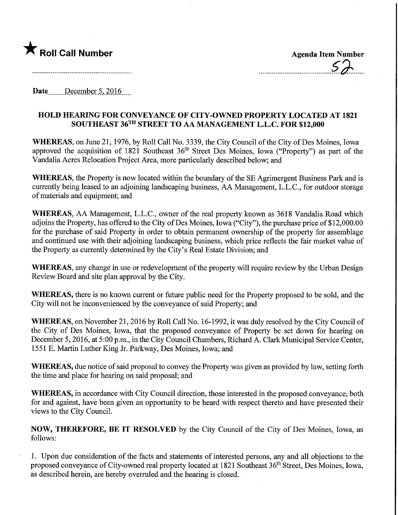

Date December 5, 2016

## HOLD HEARING FOR CONVEYANCE OF CITY-OWNED PROPERTY LOCATED AT 1821 SOUTHEAST 36TH STREET TO AA MANAGEMENT L.L.C. FOR \$12,000

WHEREAS, on June 21, 1976, by Roll Call No. 3339, the City Council of the City of Des Moines, Iowa approved the acquisition of 1821 Southeast 36<sup>th</sup> Street Des Moines, Iowa ("Property") as part of the Vandalia Acres Relocation Project Area, more particularly described below; and

WHEREAS, the Property is now located within the boundary of the SE Agrimergent Business Park and is currently being leased to an adjoining landscaping business, AA Management, L.L.C., for outdoor storage of materials and equipment; and

WHEREAS, AA Management, L.L.C., owner of the real property known as 3618 Vandalia Road which adjoins the Property, has offered to the City of Des Moines, Iowa ("City"), the purchase price of \$12,000.00 for the purchase of said Property in order to obtain permanent ownership of the property for assemblage and continued use with their adjoining landscaping business, which price reflects the fair market value of the Property as currently determined by the City's Real Estate Division; and

WHEREAS, any change in use or redevelopment of the property will require review by the Urban Design Review Board and site plan approval by the City.

WHEREAS, there is no known current or future public need for the Property proposed to be sold, and the City will not be inconvenienced by the conveyance of said Property; and

WHEREAS, on November 21, 2016 by Roll Call No. 16-1992, it was duly resolved by the City Council of the City of Des Moines, Iowa, that the proposed conveyance of Property be set down for hearing on December 5, 2016, at 5:00 p.m., in the City Council Chambers, Richard A. Clark Municipal Service Center, 1551 E. Martin Luther King Jr. Parkway, Des Moines, Iowa; and

WHEREAS, due notice of said proposal to convey the Property was given as provided by law, setting forth the time and place for hearing on said proposal; and

WHEREAS, in accordance with City Council direction, those interested in the proposed conveyance; both for and against, have been given an opportunity to be heard with respect thereto and have presented their views to the City Council.

NOW, THEREFORE, BE IT RESOLVED by the City Council of the City of Des Moines, Iowa, as follows:

1. Upon due consideration of the facts and statements of interested persons, any and all objections to the proposed conveyance of City-owned real property located at 1821 Southeast 36<sup>th</sup> Street, Des Moines, Iowa, as described herein, are hereby overruled and the hearing is closed.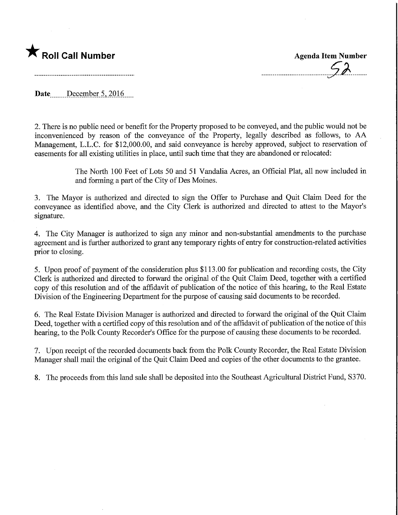

Date December 5, 2016

2. There is no public need or benefit for the Property proposed to be conveyed, and the public would not be inconvenienced by reason of the conveyance of the Property, legally described as follows, to AA Management, L.L.C. for \$12,000.00, and said conveyance is hereby approved, subject to reservation of easements for all existing utilities in place, until such time that they are abandoned or relocated:

> The North 100 Feet of Lots 50 and 51 Vandalia Acres, an Official Plat, all now included in and forming a part of the City of Des Moines.

3. The Mayor is authorized and directed to sign the Offer to Purchase and Quit Claim Deed for the conveyance as identified above, and the City Clerk is authorized and directed to attest to the Mayor's signature.

4. The City Manager is authorized to sign any minor and non-substantial amendments to the purchase agreement and is further authorized to grant any temporary rights of entry for construction-related activities prior to closing.

5. Upon proof of payment of the consideration plus \$113.00 for publication and recording costs, the City Clerk is authorized and directed to forward the original of the Quit Claim Deed, together with a certified copy of this resolution and of the affidavit of publication of the notice of this hearing, to the Real Estate Division of the Engineering Department for the purpose of causing said documents to be recorded.

6. The Real Estate Division Manager is authorized and directed to forward the original of the Quit Claim Deed, together with a certified copy of this resolution and of the affidavit of publication of the notice of this hearing, to the Polk County Recorder's Office for the purpose of causing these documents to be recorded.

7. Upon receipt of the recorded documents back from the Polk County Recorder, the Real Estate Division Manager shall mail the original of the Quit Claim Deed and copies of the other documents to the grantee.

8. The proceeds from this land sale shall be deposited into the Southeast Agricultural District Fund, S370.